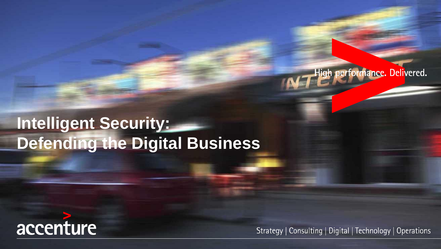# **Intelligent Security: Defending the Digital Business**



Strategy | Consulting | Digital | Technology | Operations

ligh performance. Delivered.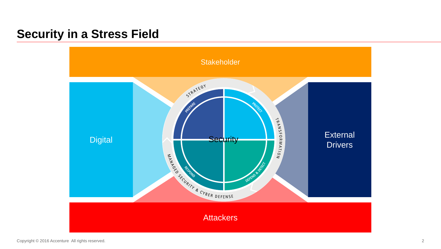## **Security in a Stress Field**

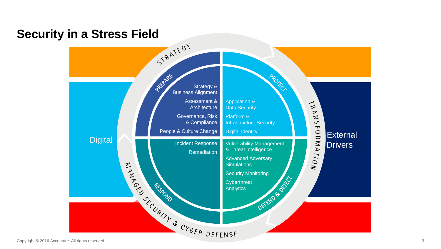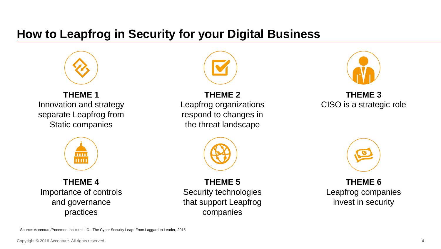# **How to Leapfrog in Security for your Digital Business**



#### **THEME 1** Innovation and strategy separate Leapfrog from Static companies



### **THEME 2** Leapfrog organizations respond to changes in the threat landscape



### **THEME 3** CISO is a strategic role



**THEME 4** Importance of controls and governance practices

**THEME 5** Security technologies that support Leapfrog companies



**THEME 6** Leapfrog companies invest in security

Source: Accenture/Ponemon Institute LLC - The Cyber Security Leap: From Laggard to Leader, 2015